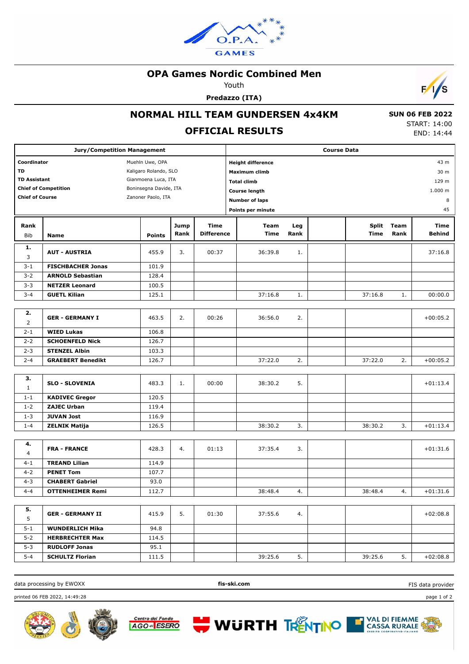

#### **OPA Games Nordic Combined Men**

Youth

**Predazzo (ITA)**



## **NORMAL HILL TEAM GUNDERSEN 4x4KM**

## **OFFICIAL RESULTS**

 **SUN 06 FEB 2022** START: 14:00 END: 14:44

| <b>Jury/Competition Management</b> |                          |                        |      | <b>Course Data</b> |                          |         |  |              |      |            |  |
|------------------------------------|--------------------------|------------------------|------|--------------------|--------------------------|---------|--|--------------|------|------------|--|
| Coordinator<br>Muehln Uwe, OPA     |                          |                        |      |                    | <b>Height difference</b> |         |  |              |      | 43 m       |  |
| TD                                 |                          | Kaligaro Rolando, SLO  |      |                    | Maximum climb            | 30 m    |  |              |      |            |  |
| <b>TD Assistant</b>                |                          | Gianmoena Luca, ITA    |      |                    | <b>Total climb</b>       | 129 m   |  |              |      |            |  |
| <b>Chief of Competition</b>        |                          | Boninsegna Davide, ITA |      |                    | <b>Course length</b>     | 1.000 m |  |              |      |            |  |
| <b>Chief of Course</b>             |                          | Zanoner Paolo, ITA     |      |                    |                          |         |  |              |      |            |  |
|                                    |                          |                        |      |                    | <b>Number of laps</b>    |         |  |              |      |            |  |
|                                    | Points per minute        |                        |      |                    |                          |         |  |              |      | 45         |  |
| Rank                               |                          |                        | Jump | <b>Time</b>        | Team                     | Leg     |  | <b>Split</b> | Team | Time       |  |
| <b>Bib</b>                         | <b>Name</b>              | <b>Points</b>          | Rank | <b>Difference</b>  | Time                     | Rank    |  | Time         | Rank | Behind     |  |
| 1.                                 | <b>AUT - AUSTRIA</b>     | 455.9                  | 3.   | 00:37              | 36:39.8                  | 1.      |  |              |      | 37:16.8    |  |
| 3                                  |                          |                        |      |                    |                          |         |  |              |      |            |  |
| $3 - 1$                            | <b>FISCHBACHER Jonas</b> | 101.9                  |      |                    |                          |         |  |              |      |            |  |
| $3 - 2$                            | <b>ARNOLD Sebastian</b>  | 128.4                  |      |                    |                          |         |  |              |      |            |  |
| $3 - 3$                            | <b>NETZER Leonard</b>    | 100.5                  |      |                    |                          |         |  |              |      |            |  |
| $3 - 4$                            | <b>GUETL Kilian</b>      | 125.1                  |      |                    | 37:16.8                  | 1.      |  | 37:16.8      | 1.   | 00:00.0    |  |
| 2.                                 |                          |                        |      |                    |                          |         |  |              |      |            |  |
| $\overline{2}$                     | <b>GER - GERMANY I</b>   | 463.5                  | 2.   | 00:26              | 36:56.0                  | 2.      |  |              |      | $+00:05.2$ |  |
| $2 - 1$                            | <b>WIED Lukas</b>        | 106.8                  |      |                    |                          |         |  |              |      |            |  |
| $2 - 2$                            | <b>SCHOENFELD Nick</b>   | 126.7                  |      |                    |                          |         |  |              |      |            |  |
| $2 - 3$                            | <b>STENZEL Albin</b>     | 103.3                  |      |                    |                          |         |  |              |      |            |  |
| $2 - 4$                            | <b>GRAEBERT Benedikt</b> | 126.7                  |      |                    | 37:22.0                  | 2.      |  | 37:22.0      | 2.   | $+00:05.2$ |  |
|                                    |                          |                        |      |                    |                          |         |  |              |      |            |  |
| з.                                 |                          |                        |      |                    |                          |         |  |              |      |            |  |
| $\mathbf{1}$                       | <b>SLO - SLOVENIA</b>    | 483.3                  | 1.   | 00:00              | 38:30.2                  | 5.      |  |              |      | $+01:13.4$ |  |
| $1 - 1$                            | <b>KADIVEC Gregor</b>    | 120.5                  |      |                    |                          |         |  |              |      |            |  |
| $1 - 2$                            | <b>ZAJEC Urban</b>       | 119.4                  |      |                    |                          |         |  |              |      |            |  |
| $1 - 3$                            | <b>JUVAN Jost</b>        | 116.9                  |      |                    |                          |         |  |              |      |            |  |
| $1 - 4$                            | <b>ZELNIK Matija</b>     | 126.5                  |      |                    | 38:30.2                  | 3.      |  | 38:30.2      | 3.   | $+01:13.4$ |  |
|                                    |                          |                        |      |                    |                          |         |  |              |      |            |  |
| 4.<br>4                            | <b>FRA - FRANCE</b>      | 428.3                  | 4.   | 01:13              | 37:35.4                  | 3.      |  |              |      | $+01:31.6$ |  |
| $4 - 1$                            | <b>TREAND Lilian</b>     | 114.9                  |      |                    |                          |         |  |              |      |            |  |
| $4 - 2$                            | <b>PENET Tom</b>         | 107.7                  |      |                    |                          |         |  |              |      |            |  |
| $4 - 3$                            | <b>CHABERT Gabriel</b>   | 93.0                   |      |                    |                          |         |  |              |      |            |  |
| $4 - 4$                            | <b>OTTENHEIMER Remi</b>  | 112.7                  |      |                    | 38:48.4                  | 4.      |  | 38:48.4      | 4.   | $+01:31.6$ |  |
|                                    |                          |                        |      |                    |                          |         |  |              |      |            |  |
| 5.                                 | <b>GER - GERMANY II</b>  | 415.9                  | 5.   | 01:30              | 37:55.6                  | 4.      |  |              |      | $+02:08.8$ |  |
| 5                                  |                          |                        |      |                    |                          |         |  |              |      |            |  |
| $5 - 1$                            | <b>WUNDERLICH Mika</b>   | 94.8                   |      |                    |                          |         |  |              |      |            |  |
| $5 - 2$                            | <b>HERBRECHTER Max</b>   | 114.5                  |      |                    |                          |         |  |              |      |            |  |
| $5 - 3$                            | <b>RUDLOFF Jonas</b>     | 95.1                   |      |                    |                          |         |  |              |      |            |  |
| $5 - 4$                            | <b>SCHULTZ Florian</b>   | 111.5                  |      |                    | 39:25.6                  | 5.      |  | 39:25.6      | 5.   | $+02:08.8$ |  |

data processing by EWOXX **fis-ski.com**

**WURTH TRENTINO** 

FIS data provider

printed 06 FEB 2022, 14:49:28 page 1 of 2





**THE VAL DI FIEMME**